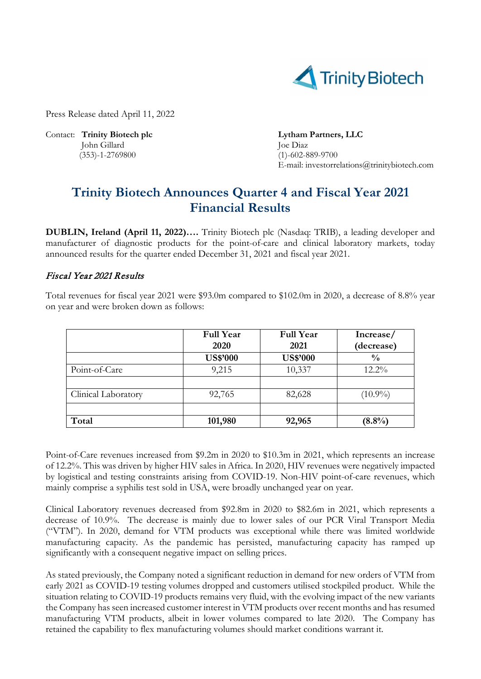

Press Release dated April 11, 2022

Contact: **Trinity Biotech plc Lytham Partners, LLC**  John Gillard Joe Diaz (353)-1-2769800 (1)-602-889-9700

E-mail: investorrelations@trinitybiotech.com

# **Trinity Biotech Announces Quarter 4 and Fiscal Year 2021 Financial Results**

**DUBLIN, Ireland (April 11, 2022)….** Trinity Biotech plc (Nasdaq: TRIB), a leading developer and manufacturer of diagnostic products for the point-of-care and clinical laboratory markets, today announced results for the quarter ended December 31, 2021 and fiscal year 2021.

## Fiscal Year 2021 Results

Total revenues for fiscal year 2021 were \$93.0m compared to \$102.0m in 2020, a decrease of 8.8% year on year and were broken down as follows:

|                     | <b>Full Year</b><br>2020 | <b>Full Year</b><br>2021 | Increase/<br>(decrease) |
|---------------------|--------------------------|--------------------------|-------------------------|
|                     | <b>US\$'000</b>          | <b>US\$'000</b>          | $\frac{0}{0}$           |
| Point-of-Care       | 9,215                    | 10,337                   | $12.2\%$                |
|                     |                          |                          |                         |
| Clinical Laboratory | 92,765                   | 82,628                   | $(10.9\%)$              |
|                     |                          |                          |                         |
| Total               | 101,980                  | 92,965                   | $(8.8\%)$               |

Point-of-Care revenues increased from \$9.2m in 2020 to \$10.3m in 2021, which represents an increase of 12.2%. This was driven by higher HIV sales in Africa. In 2020, HIV revenues were negatively impacted by logistical and testing constraints arising from COVID-19. Non-HIV point-of-care revenues, which mainly comprise a syphilis test sold in USA, were broadly unchanged year on year.

Clinical Laboratory revenues decreased from \$92.8m in 2020 to \$82.6m in 2021, which represents a decrease of 10.9%. The decrease is mainly due to lower sales of our PCR Viral Transport Media ("VTM"). In 2020, demand for VTM products was exceptional while there was limited worldwide manufacturing capacity. As the pandemic has persisted, manufacturing capacity has ramped up significantly with a consequent negative impact on selling prices.

As stated previously, the Company noted a significant reduction in demand for new orders of VTM from early 2021 as COVID-19 testing volumes dropped and customers utilised stockpiled product. While the situation relating to COVID-19 products remains very fluid, with the evolving impact of the new variants the Company has seen increased customer interest in VTM products over recent months and has resumed manufacturing VTM products, albeit in lower volumes compared to late 2020. The Company has retained the capability to flex manufacturing volumes should market conditions warrant it.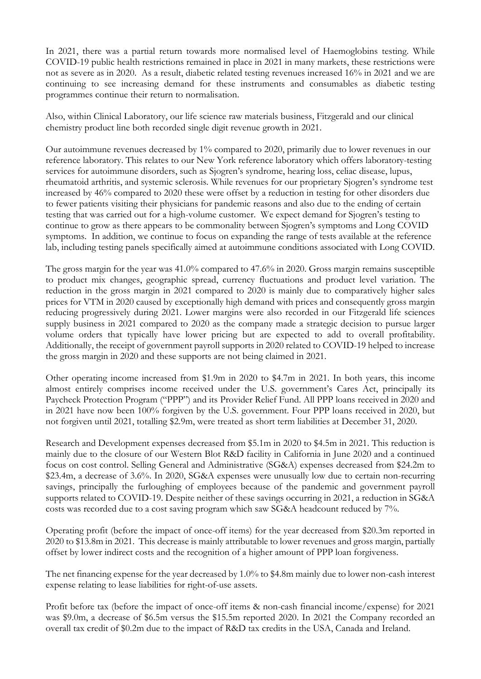In 2021, there was a partial return towards more normalised level of Haemoglobins testing. While COVID-19 public health restrictions remained in place in 2021 in many markets, these restrictions were not as severe as in 2020. As a result, diabetic related testing revenues increased 16% in 2021 and we are continuing to see increasing demand for these instruments and consumables as diabetic testing programmes continue their return to normalisation.

Also, within Clinical Laboratory, our life science raw materials business, Fitzgerald and our clinical chemistry product line both recorded single digit revenue growth in 2021.

Our autoimmune revenues decreased by 1% compared to 2020, primarily due to lower revenues in our reference laboratory. This relates to our New York reference laboratory which offers laboratory-testing services for autoimmune disorders, such as Sjogren's syndrome, hearing loss, celiac disease, lupus, rheumatoid arthritis, and systemic sclerosis. While revenues for our proprietary Sjogren's syndrome test increased by 46% compared to 2020 these were offset by a reduction in testing for other disorders due to fewer patients visiting their physicians for pandemic reasons and also due to the ending of certain testing that was carried out for a high-volume customer. We expect demand for Sjogren's testing to continue to grow as there appears to be commonality between Sjogren's symptoms and Long COVID symptoms. In addition, we continue to focus on expanding the range of tests available at the reference lab, including testing panels specifically aimed at autoimmune conditions associated with Long COVID.

The gross margin for the year was 41.0% compared to 47.6% in 2020. Gross margin remains susceptible to product mix changes, geographic spread, currency fluctuations and product level variation. The reduction in the gross margin in 2021 compared to 2020 is mainly due to comparatively higher sales prices for VTM in 2020 caused by exceptionally high demand with prices and consequently gross margin reducing progressively during 2021. Lower margins were also recorded in our Fitzgerald life sciences supply business in 2021 compared to 2020 as the company made a strategic decision to pursue larger volume orders that typically have lower pricing but are expected to add to overall profitability. Additionally, the receipt of government payroll supports in 2020 related to COVID-19 helped to increase the gross margin in 2020 and these supports are not being claimed in 2021.

Other operating income increased from \$1.9m in 2020 to \$4.7m in 2021. In both years, this income almost entirely comprises income received under the U.S. government's Cares Act, principally its Paycheck Protection Program ("PPP") and its Provider Relief Fund. All PPP loans received in 2020 and in 2021 have now been 100% forgiven by the U.S. government. Four PPP loans received in 2020, but not forgiven until 2021, totalling \$2.9m, were treated as short term liabilities at December 31, 2020.

Research and Development expenses decreased from \$5.1m in 2020 to \$4.5m in 2021. This reduction is mainly due to the closure of our Western Blot R&D facility in California in June 2020 and a continued focus on cost control. Selling General and Administrative (SG&A) expenses decreased from \$24.2m to \$23.4m, a decrease of 3.6%. In 2020, SG&A expenses were unusually low due to certain non-recurring savings, principally the furloughing of employees because of the pandemic and government payroll supports related to COVID-19. Despite neither of these savings occurring in 2021, a reduction in SG&A costs was recorded due to a cost saving program which saw SG&A headcount reduced by 7%.

Operating profit (before the impact of once-off items) for the year decreased from \$20.3m reported in 2020 to \$13.8m in 2021. This decrease is mainly attributable to lower revenues and gross margin, partially offset by lower indirect costs and the recognition of a higher amount of PPP loan forgiveness.

The net financing expense for the year decreased by 1.0% to \$4.8m mainly due to lower non-cash interest expense relating to lease liabilities for right-of-use assets.

Profit before tax (before the impact of once-off items & non-cash financial income/expense) for 2021 was \$9.0m, a decrease of \$6.5m versus the \$15.5m reported 2020. In 2021 the Company recorded an overall tax credit of \$0.2m due to the impact of R&D tax credits in the USA, Canada and Ireland.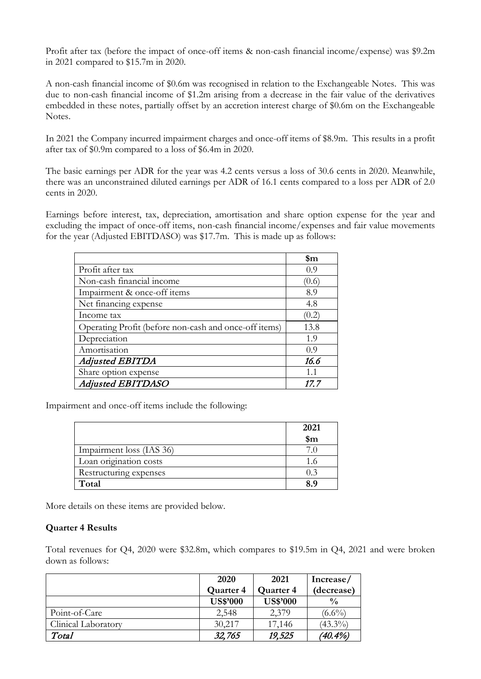Profit after tax (before the impact of once-off items & non-cash financial income/expense) was \$9.2m in 2021 compared to \$15.7m in 2020.

A non-cash financial income of \$0.6m was recognised in relation to the Exchangeable Notes. This was due to non-cash financial income of \$1.2m arising from a decrease in the fair value of the derivatives embedded in these notes, partially offset by an accretion interest charge of \$0.6m on the Exchangeable Notes.

In 2021 the Company incurred impairment charges and once-off items of \$8.9m. This results in a profit after tax of \$0.9m compared to a loss of \$6.4m in 2020.

The basic earnings per ADR for the year was 4.2 cents versus a loss of 30.6 cents in 2020. Meanwhile, there was an unconstrained diluted earnings per ADR of 16.1 cents compared to a loss per ADR of 2.0 cents in 2020.

Earnings before interest, tax, depreciation, amortisation and share option expense for the year and excluding the impact of once-off items, non-cash financial income/expenses and fair value movements for the year (Adjusted EBITDASO) was \$17.7m. This is made up as follows:

|                                                       | \$m   |
|-------------------------------------------------------|-------|
| Profit after tax                                      | 0.9   |
| Non-cash financial income                             | (0.6) |
| Impairment & once-off items                           | 8.9   |
| Net financing expense                                 | 4.8   |
| Income tax                                            | (0.2) |
| Operating Profit (before non-cash and once-off items) | 13.8  |
| Depreciation                                          | 1.9   |
| Amortisation                                          | 0.9   |
| <b>Adjusted EBITDA</b>                                | 16.6  |
| Share option expense                                  | 1.1   |
| <b>Adjusted EBITDASO</b>                              | 17.7  |

Impairment and once-off items include the following:

|                          | 2021           |
|--------------------------|----------------|
|                          | $\mathbf{\$m}$ |
| Impairment loss (IAS 36) |                |
| Loan origination costs   |                |
| Restructuring expenses   |                |
| Total                    | 8.9            |

More details on these items are provided below.

### **Quarter 4 Results**

Total revenues for Q4, 2020 were \$32.8m, which compares to \$19.5m in Q4, 2021 and were broken down as follows:

|                     | 2020            | 2021            |               |
|---------------------|-----------------|-----------------|---------------|
|                     | Quarter 4       | Quarter 4       | (decrease)    |
|                     | <b>US\$'000</b> | <b>US\$'000</b> | $\frac{0}{0}$ |
| Point-of-Care       | 2,548           | 2,379           | $(6.6\%)$     |
| Clinical Laboratory | 30,217          | 17,146          | $(43.3\%)$    |
| Total               | 32,765          | 19,525          | $(40.4\%)$    |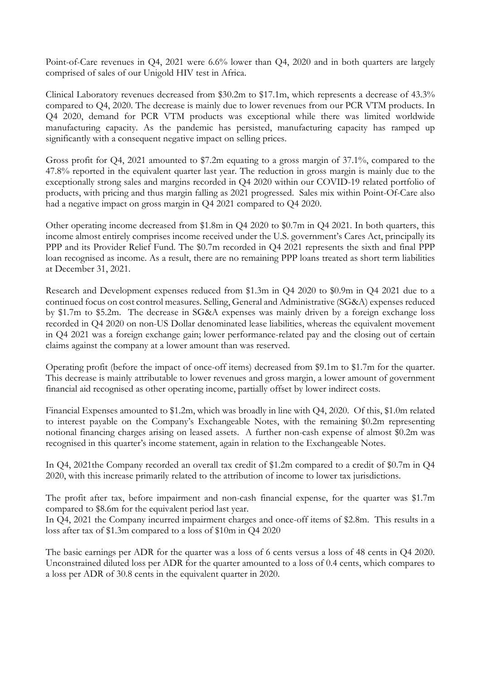Point-of-Care revenues in Q4, 2021 were 6.6% lower than Q4, 2020 and in both quarters are largely comprised of sales of our Unigold HIV test in Africa.

Clinical Laboratory revenues decreased from \$30.2m to \$17.1m, which represents a decrease of 43.3% compared to Q4, 2020. The decrease is mainly due to lower revenues from our PCR VTM products. In Q4 2020, demand for PCR VTM products was exceptional while there was limited worldwide manufacturing capacity. As the pandemic has persisted, manufacturing capacity has ramped up significantly with a consequent negative impact on selling prices.

Gross profit for Q4, 2021 amounted to \$7.2m equating to a gross margin of 37.1%, compared to the 47.8% reported in the equivalent quarter last year. The reduction in gross margin is mainly due to the exceptionally strong sales and margins recorded in Q4 2020 within our COVID-19 related portfolio of products, with pricing and thus margin falling as 2021 progressed. Sales mix within Point-Of-Care also had a negative impact on gross margin in Q4 2021 compared to Q4 2020.

Other operating income decreased from \$1.8m in Q4 2020 to \$0.7m in Q4 2021. In both quarters, this income almost entirely comprises income received under the U.S. government's Cares Act, principally its PPP and its Provider Relief Fund. The \$0.7m recorded in Q4 2021 represents the sixth and final PPP loan recognised as income. As a result, there are no remaining PPP loans treated as short term liabilities at December 31, 2021.

Research and Development expenses reduced from \$1.3m in Q4 2020 to \$0.9m in Q4 2021 due to a continued focus on cost control measures. Selling, General and Administrative (SG&A) expenses reduced by \$1.7m to \$5.2m. The decrease in SG&A expenses was mainly driven by a foreign exchange loss recorded in Q4 2020 on non-US Dollar denominated lease liabilities, whereas the equivalent movement in Q4 2021 was a foreign exchange gain; lower performance-related pay and the closing out of certain claims against the company at a lower amount than was reserved.

Operating profit (before the impact of once-off items) decreased from \$9.1m to \$1.7m for the quarter. This decrease is mainly attributable to lower revenues and gross margin, a lower amount of government financial aid recognised as other operating income, partially offset by lower indirect costs.

Financial Expenses amounted to \$1.2m, which was broadly in line with Q4, 2020. Of this, \$1.0m related to interest payable on the Company's Exchangeable Notes, with the remaining \$0.2m representing notional financing charges arising on leased assets. A further non-cash expense of almost \$0.2m was recognised in this quarter's income statement, again in relation to the Exchangeable Notes.

In Q4, 2021the Company recorded an overall tax credit of \$1.2m compared to a credit of \$0.7m in Q4 2020, with this increase primarily related to the attribution of income to lower tax jurisdictions.

The profit after tax, before impairment and non-cash financial expense, for the quarter was \$1.7m compared to \$8.6m for the equivalent period last year.

In Q4, 2021 the Company incurred impairment charges and once-off items of \$2.8m. This results in a loss after tax of \$1.3m compared to a loss of \$10m in Q4 2020

The basic earnings per ADR for the quarter was a loss of 6 cents versus a loss of 48 cents in Q4 2020. Unconstrained diluted loss per ADR for the quarter amounted to a loss of 0.4 cents, which compares to a loss per ADR of 30.8 cents in the equivalent quarter in 2020.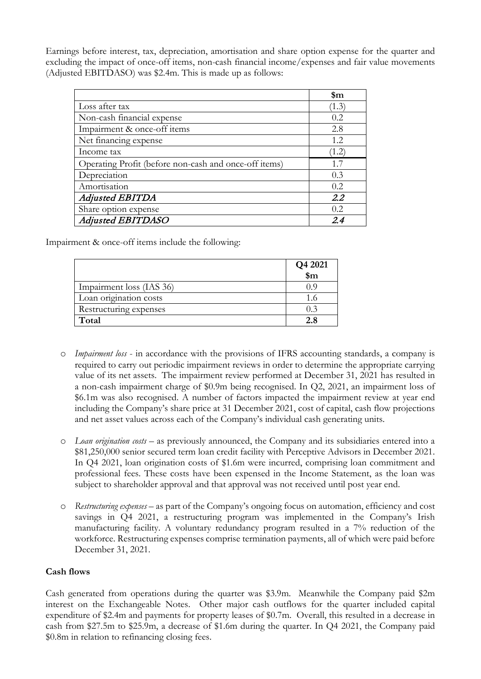Earnings before interest, tax, depreciation, amortisation and share option expense for the quarter and excluding the impact of once-off items, non-cash financial income/expenses and fair value movements (Adjusted EBITDASO) was \$2.4m. This is made up as follows:

|                                                       | \$m   |
|-------------------------------------------------------|-------|
| Loss after tax                                        | (1.3) |
| Non-cash financial expense                            | 0.2   |
| Impairment & once-off items                           | 2.8   |
| Net financing expense                                 | 1.2.  |
| Income tax                                            | (1.2) |
| Operating Profit (before non-cash and once-off items) | 17    |
| Depreciation                                          | 0.3   |
| Amortisation                                          | 0.2   |
| <b>Adjusted EBITDA</b>                                | 2.2   |
| Share option expense                                  | 0.2.  |
| Adjusted EBITDASO                                     | 2.4   |

Impairment & once-off items include the following:

|                          | Q4 2021<br>$\sin$ |
|--------------------------|-------------------|
| Impairment loss (IAS 36) |                   |
| Loan origination costs   |                   |
| Restructuring expenses   | (0.3)             |
| Total                    |                   |

- o *Impairment loss* in accordance with the provisions of IFRS accounting standards, a company is required to carry out periodic impairment reviews in order to determine the appropriate carrying value of its net assets. The impairment review performed at December 31, 2021 has resulted in a non-cash impairment charge of \$0.9m being recognised. In Q2, 2021, an impairment loss of \$6.1m was also recognised. A number of factors impacted the impairment review at year end including the Company's share price at 31 December 2021, cost of capital, cash flow projections and net asset values across each of the Company's individual cash generating units.
- o *Loan origination costs* as previously announced, the Company and its subsidiaries entered into a \$81,250,000 senior secured term loan credit facility with Perceptive Advisors in December 2021. In Q4 2021, loan origination costs of \$1.6m were incurred, comprising loan commitment and professional fees. These costs have been expensed in the Income Statement, as the loan was subject to shareholder approval and that approval was not received until post year end.
- o *Restructuring expenses* as part of the Company's ongoing focus on automation, efficiency and cost savings in Q4 2021, a restructuring program was implemented in the Company's Irish manufacturing facility. A voluntary redundancy program resulted in a 7% reduction of the workforce. Restructuring expenses comprise termination payments, all of which were paid before December 31, 2021.

# **Cash flows**

Cash generated from operations during the quarter was \$3.9m. Meanwhile the Company paid \$2m interest on the Exchangeable Notes. Other major cash outflows for the quarter included capital expenditure of \$2.4m and payments for property leases of \$0.7m. Overall, this resulted in a decrease in cash from \$27.5m to \$25.9m, a decrease of \$1.6m during the quarter. In Q4 2021, the Company paid \$0.8m in relation to refinancing closing fees.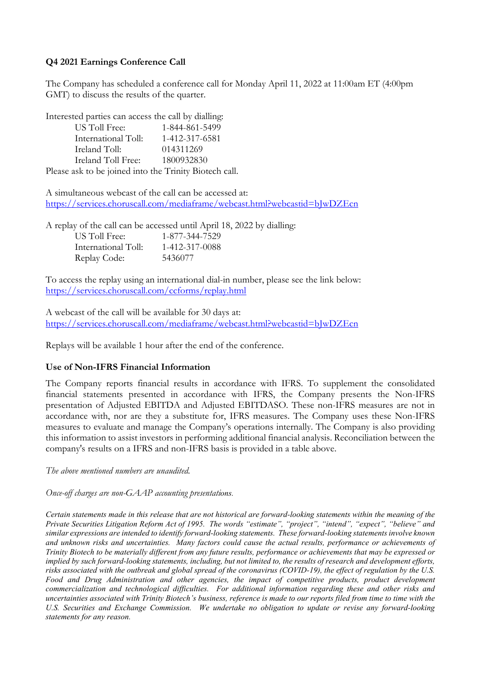# **Q4 2021 Earnings Conference Call**

The Company has scheduled a conference call for Monday April 11, 2022 at 11:00am ET (4:00pm GMT) to discuss the results of the quarter.

Interested parties can access the call by dialling:

| US Toll Free:                                          | 1-844-861-5499 |
|--------------------------------------------------------|----------------|
| International Toll:                                    | 1-412-317-6581 |
| Ireland Toll:                                          | 014311269      |
| Ireland Toll Free:                                     | 1800932830     |
| Please ask to be joined into the Trinity Biotech call. |                |

A simultaneous webcast of the call can be accessed at: [https://services.choruscall.com/mediaframe/webcast.html?webcastid=bJwDZEcn](https://nam10.safelinks.protection.outlook.com/?url=https%3A%2F%2Fservices.choruscall.com%2Fmediaframe%2Fwebcast.html%3Fwebcastid%3DbJwDZEcn&data=04%7C01%7Cdthomas%40choruscall.com%7C0be0930dece749df551d08da1982a519%7Cb33d8fee5ac94ed69e4d5ad041ecfd21%7C0%7C0%7C637850346179727268%7CUnknown%7CTWFpbGZsb3d8eyJWIjoiMC4wLjAwMDAiLCJQIjoiV2luMzIiLCJBTiI6Ik1haWwiLCJXVCI6Mn0%3D%7C3000&sdata=mFcRHW1Fwzb0NS6ydoaBZpemprhw0EhBUsxtX9eTMFw%3D&reserved=0) 

A replay of the call can be accessed until April 18, 2022 by dialling: US Toll Free: 1-877-344-7529 International Toll: 1-412-317-0088 Replay Code: 5436077

To access the replay using an international dial-in number, please see the link below: [https://services.choruscall.com/ccforms/replay.html](https://nam10.safelinks.protection.outlook.com/?url=https%3A%2F%2Fservices.choruscall.com%2Fccforms%2Freplay.html&data=04%7C01%7Cjzerbe%40choruscall.com%7C98d45b7e003145efe57808da198351f7%7Cb33d8fee5ac94ed69e4d5ad041ecfd21%7C0%7C0%7C637850349066960579%7CUnknown%7CTWFpbGZsb3d8eyJWIjoiMC4wLjAwMDAiLCJQIjoiV2luMzIiLCJBTiI6Ik1haWwiLCJXVCI6Mn0%3D%7C3000&sdata=0A9BXm%2FoZdDOue9EgFUPNg3B%2BA7G9oC0PbFx2NStSXQ%3D&reserved=0)

A webcast of the call will be available for 30 days at: [https://services.choruscall.com/mediaframe/webcast.html?webcastid=bJwDZEcn](https://nam10.safelinks.protection.outlook.com/?url=https%3A%2F%2Fservices.choruscall.com%2Fmediaframe%2Fwebcast.html%3Fwebcastid%3DbJwDZEcn&data=04%7C01%7Cdthomas%40choruscall.com%7C0be0930dece749df551d08da1982a519%7Cb33d8fee5ac94ed69e4d5ad041ecfd21%7C0%7C0%7C637850346179727268%7CUnknown%7CTWFpbGZsb3d8eyJWIjoiMC4wLjAwMDAiLCJQIjoiV2luMzIiLCJBTiI6Ik1haWwiLCJXVCI6Mn0%3D%7C3000&sdata=mFcRHW1Fwzb0NS6ydoaBZpemprhw0EhBUsxtX9eTMFw%3D&reserved=0) 

Replays will be available 1 hour after the end of the conference.

# **Use of Non-IFRS Financial Information**

The Company reports financial results in accordance with IFRS. To supplement the consolidated financial statements presented in accordance with IFRS, the Company presents the Non-IFRS presentation of Adjusted EBITDA and Adjusted EBITDASO. These non-IFRS measures are not in accordance with, nor are they a substitute for, IFRS measures. The Company uses these Non-IFRS measures to evaluate and manage the Company's operations internally. The Company is also providing this information to assist investors in performing additional financial analysis. Reconciliation between the company's results on a IFRS and non-IFRS basis is provided in a table above.

*The above mentioned numbers are unaudited.*

*Once-off charges are non-GAAP accounting presentations.* 

*Certain statements made in this release that are not historical are forward-looking statements within the meaning of the Private Securities Litigation Reform Act of 1995. The words "estimate", "project", "intend", "expect", "believe" and similar expressions are intended to identify forward-looking statements. These forward-looking statements involve known and unknown risks and uncertainties. Many factors could cause the actual results, performance or achievements of Trinity Biotech to be materially different from any future results, performance or achievements that may be expressed or implied by such forward-looking statements, including, but not limited to, the results of research and development efforts, risks associated with the outbreak and global spread of the coronavirus (COVID-19), the effect of regulation by the U.S. Food and Drug Administration and other agencies, the impact of competitive products, product development commercialization and technological difficulties. For additional information regarding these and other risks and uncertainties associated with Trinity Biotech's business, reference is made to our reports filed from time to time with the U.S. Securities and Exchange Commission. We undertake no obligation to update or revise any forward-looking statements for any reason.*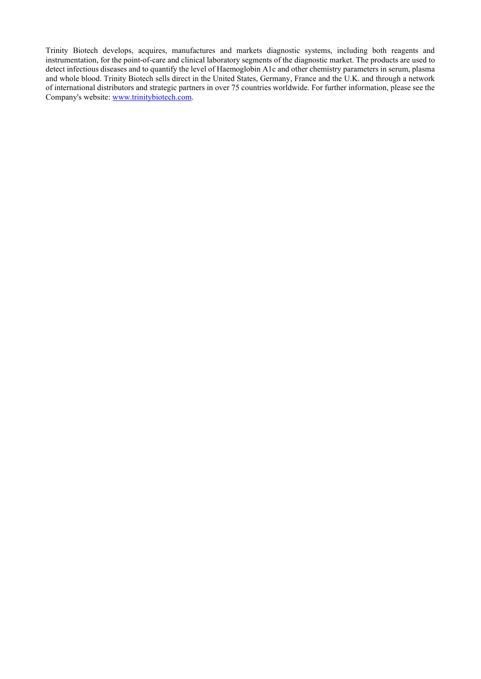Trinity Biotech develops, acquires, manufactures and markets diagnostic systems, including both reagents and instrumentation, for the point-of-care and clinical laboratory segments of the diagnostic market. The products are used to detect infectious diseases and to quantify the level of Haemoglobin A1c and other chemistry parameters in serum, plasma and whole blood. Trinity Biotech sells direct in the United States, Germany, France and the U.K. and through a network of international distributors and strategic partners in over 75 countries worldwide. For further information, please see the Company's website: [www.trinitybiotech.com.](http://www.trinitybiotech.com/)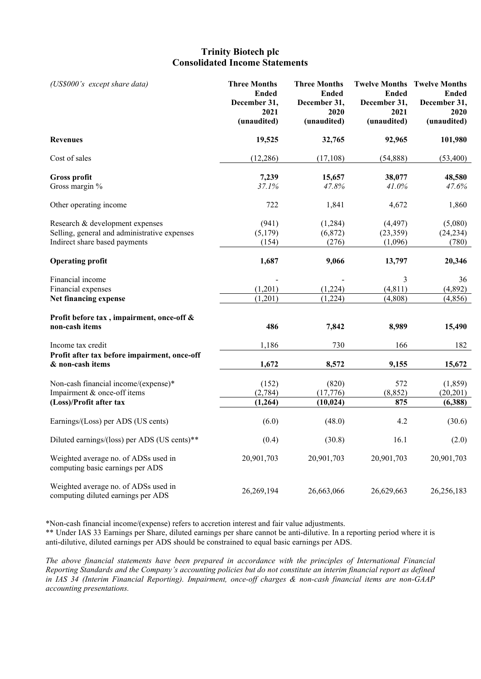# **Trinity Biotech plc Consolidated Income Statements**

| (US\$000's except share data)                                                                                    | <b>Three Months</b><br><b>Ended</b><br>December 31,<br>2021<br>(unaudited) | <b>Three Months</b><br><b>Ended</b><br>December 31,<br>2020<br>(unaudited) | <b>Ended</b><br>December 31,<br>2021<br>(unaudited) | <b>Twelve Months Twelve Months</b><br><b>Ended</b><br>December 31,<br>2020<br>(unaudited) |
|------------------------------------------------------------------------------------------------------------------|----------------------------------------------------------------------------|----------------------------------------------------------------------------|-----------------------------------------------------|-------------------------------------------------------------------------------------------|
| <b>Revenues</b>                                                                                                  | 19,525                                                                     | 32,765                                                                     | 92,965                                              | 101,980                                                                                   |
| Cost of sales                                                                                                    | (12, 286)                                                                  | (17, 108)                                                                  | (54, 888)                                           | (53,400)                                                                                  |
| Gross profit<br>Gross margin %                                                                                   | 7,239<br>37.1%                                                             | 15,657<br>47.8%                                                            | 38,077<br>41.0%                                     | 48,580<br>47.6%                                                                           |
| Other operating income                                                                                           | 722                                                                        | 1,841                                                                      | 4,672                                               | 1,860                                                                                     |
| Research & development expenses<br>Selling, general and administrative expenses<br>Indirect share based payments | (941)<br>(5,179)<br>(154)                                                  | (1,284)<br>(6,872)<br>(276)                                                | (4, 497)<br>(23, 359)<br>(1,096)                    | (5,080)<br>(24, 234)<br>(780)                                                             |
| <b>Operating profit</b>                                                                                          | 1,687                                                                      | 9,066                                                                      | 13,797                                              | 20,346                                                                                    |
| Financial income<br>Financial expenses<br>Net financing expense                                                  | (1,201)<br>(1,201)                                                         | (1,224)<br>(1,224)                                                         | 3<br>(4, 811)<br>(4,808)                            | 36<br>(4,892)<br>(4, 856)                                                                 |
| Profit before tax, impairment, once-off &<br>non-cash items                                                      | 486                                                                        | 7,842                                                                      | 8,989                                               | 15,490                                                                                    |
| Income tax credit<br>Profit after tax before impairment, once-off<br>& non-cash items                            | 1,186<br>1,672                                                             | 730<br>8,572                                                               | 166<br>9,155                                        | 182<br>15,672                                                                             |
| Non-cash financial income/(expense)*<br>Impairment & once-off items<br>(Loss)/Profit after tax                   | (152)<br>(2,784)<br>(1,264)                                                | (820)<br>(17,776)<br>(10, 024)                                             | 572<br>(8, 852)<br>875                              | (1, 859)<br>(20, 201)<br>(6,388)                                                          |
| Earnings/(Loss) per ADS (US cents)                                                                               | (6.0)                                                                      | (48.0)                                                                     | 4.2                                                 | (30.6)                                                                                    |
| Diluted earnings/(loss) per ADS (US cents)**                                                                     | (0.4)                                                                      | (30.8)                                                                     | 16.1                                                | (2.0)                                                                                     |
| Weighted average no. of ADSs used in<br>computing basic earnings per ADS                                         | 20,901,703                                                                 | 20,901,703                                                                 | 20,901,703                                          | 20,901,703                                                                                |
| Weighted average no. of ADSs used in<br>computing diluted earnings per ADS                                       | 26,269,194                                                                 | 26,663,066                                                                 | 26,629,663                                          | 26,256,183                                                                                |

\*Non-cash financial income/(expense) refers to accretion interest and fair value adjustments.

\*\* Under IAS 33 Earnings per Share, diluted earnings per share cannot be anti-dilutive. In a reporting period where it is anti-dilutive, diluted earnings per ADS should be constrained to equal basic earnings per ADS.

*The above financial statements have been prepared in accordance with the principles of International Financial Reporting Standards and the Company's accounting policies but do not constitute an interim financial report as defined in IAS 34 (Interim Financial Reporting). Impairment, once-off charges & non-cash financial items are non-GAAP accounting presentations.*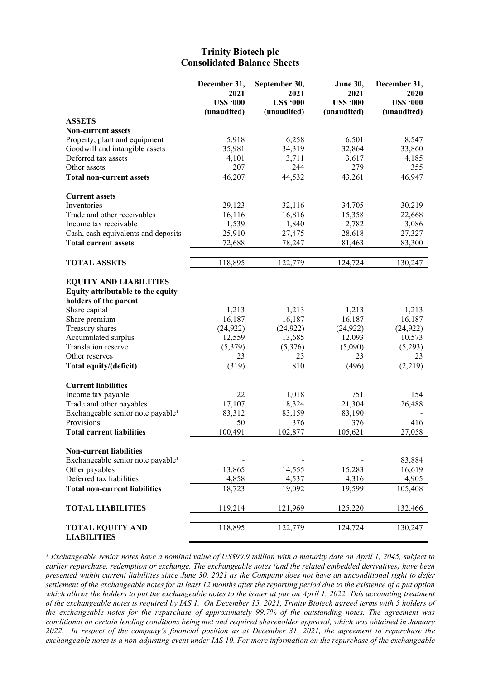### **Trinity Biotech plc Consolidated Balance Sheets**

|                                                                                                                                                                                                                                            | December 31,<br>2021<br><b>US\$ '000</b><br>(unaudited)          | September 30,<br>2021<br><b>US\$ '000</b><br>(unaudited)       | June 30,<br>2021<br><b>US\$ '000</b><br>(unaudited)              | December 31,<br>2020<br><b>US\$ '000</b><br>(unaudited)            |
|--------------------------------------------------------------------------------------------------------------------------------------------------------------------------------------------------------------------------------------------|------------------------------------------------------------------|----------------------------------------------------------------|------------------------------------------------------------------|--------------------------------------------------------------------|
| <b>ASSETS</b>                                                                                                                                                                                                                              |                                                                  |                                                                |                                                                  |                                                                    |
| <b>Non-current assets</b>                                                                                                                                                                                                                  |                                                                  |                                                                |                                                                  |                                                                    |
| Property, plant and equipment                                                                                                                                                                                                              | 5,918                                                            | 6,258                                                          | 6,501                                                            | 8,547                                                              |
| Goodwill and intangible assets                                                                                                                                                                                                             | 35,981                                                           | 34,319                                                         | 32,864                                                           | 33,860                                                             |
| Deferred tax assets                                                                                                                                                                                                                        | 4,101                                                            | 3,711                                                          | 3,617                                                            | 4,185                                                              |
| Other assets                                                                                                                                                                                                                               | 207                                                              | 244                                                            | 279                                                              | 355                                                                |
| <b>Total non-current assets</b>                                                                                                                                                                                                            | 46,207                                                           | 44,532                                                         | 43,261                                                           | 46,947                                                             |
|                                                                                                                                                                                                                                            |                                                                  |                                                                |                                                                  |                                                                    |
| <b>Current assets</b>                                                                                                                                                                                                                      |                                                                  |                                                                |                                                                  |                                                                    |
| Inventories                                                                                                                                                                                                                                | 29,123                                                           | 32,116                                                         | 34,705                                                           | 30,219                                                             |
| Trade and other receivables                                                                                                                                                                                                                | 16,116                                                           | 16,816                                                         | 15,358                                                           | 22,668                                                             |
| Income tax receivable                                                                                                                                                                                                                      | 1,539                                                            | 1,840                                                          | 2,782                                                            | 3,086                                                              |
| Cash, cash equivalents and deposits                                                                                                                                                                                                        | 25,910                                                           | 27,475                                                         | 28,618                                                           | 27,327                                                             |
| <b>Total current assets</b>                                                                                                                                                                                                                | 72,688                                                           | 78,247                                                         | 81,463                                                           | 83,300                                                             |
|                                                                                                                                                                                                                                            |                                                                  |                                                                |                                                                  |                                                                    |
| <b>TOTAL ASSETS</b>                                                                                                                                                                                                                        | 118,895                                                          | 122,779                                                        | 124,724                                                          | 130,247                                                            |
| <b>EQUITY AND LIABILITIES</b><br>Equity attributable to the equity<br>holders of the parent<br>Share capital<br>Share premium<br>Treasury shares<br>Accumulated surplus<br>Translation reserve<br>Other reserves<br>Total equity/(deficit) | 1,213<br>16,187<br>(24, 922)<br>12,559<br>(5,379)<br>23<br>(319) | 1,213<br>16,187<br>(24, 922)<br>13,685<br>(5,376)<br>23<br>810 | 1,213<br>16,187<br>(24, 922)<br>12,093<br>(5,090)<br>23<br>(496) | 1,213<br>16,187<br>(24, 922)<br>10,573<br>(5,293)<br>23<br>(2,219) |
| <b>Current liabilities</b>                                                                                                                                                                                                                 |                                                                  |                                                                |                                                                  |                                                                    |
| Income tax payable                                                                                                                                                                                                                         | 22                                                               | 1,018                                                          | 751                                                              | 154                                                                |
| Trade and other payables                                                                                                                                                                                                                   | 17,107                                                           | 18,324                                                         | 21,304                                                           | 26,488                                                             |
| Exchangeable senior note payable <sup>1</sup>                                                                                                                                                                                              | 83,312                                                           | 83,159                                                         | 83,190                                                           |                                                                    |
| Provisions                                                                                                                                                                                                                                 | 50                                                               | 376                                                            | 376                                                              | 416                                                                |
| <b>Total current liabilities</b>                                                                                                                                                                                                           | 100,491                                                          | 102,877                                                        | 105,621                                                          | 27,058                                                             |
|                                                                                                                                                                                                                                            |                                                                  |                                                                |                                                                  |                                                                    |
| <b>Non-current liabilities</b>                                                                                                                                                                                                             |                                                                  |                                                                |                                                                  |                                                                    |
| Exchangeable senior note payable <sup>1</sup>                                                                                                                                                                                              |                                                                  |                                                                |                                                                  | 83,884                                                             |
| Other payables                                                                                                                                                                                                                             | 13,865                                                           | 14,555                                                         | 15,283                                                           | 16,619                                                             |
| Deferred tax liabilities                                                                                                                                                                                                                   | 4,858                                                            | 4,537                                                          | 4,316                                                            | 4,905                                                              |
| <b>Total non-current liabilities</b>                                                                                                                                                                                                       | 18,723                                                           | 19,092                                                         | 19,599                                                           | 105,408                                                            |
| <b>TOTAL LIABILITIES</b>                                                                                                                                                                                                                   | 119,214                                                          | 121,969                                                        | 125,220                                                          | 132,466                                                            |
|                                                                                                                                                                                                                                            |                                                                  |                                                                |                                                                  |                                                                    |
| <b>TOTAL EQUITY AND</b><br><b>LIABILITIES</b>                                                                                                                                                                                              | 118,895                                                          | 122,779                                                        | 124,724                                                          | 130,247                                                            |

<sup>1</sup> Exchangeable senior notes have a nominal value of US\$99.9 million with a maturity date on April 1, 2045, subject to *earlier repurchase, redemption or exchange. The exchangeable notes (and the related embedded derivatives) have been presented within current liabilities since June 30, 2021 as the Company does not have an unconditional right to defer settlement of the exchangeable notes for at least 12 months after the reporting period due to the existence of a put option which allows the holders to put the exchangeable notes to the issuer at par on April 1, 2022. This accounting treatment of the exchangeable notes is required by IAS 1. On December 15, 2021, Trinity Biotech agreed terms with 5 holders of the exchangeable notes for the repurchase of approximately 99.7% of the outstanding notes. The agreement was conditional on certain lending conditions being met and required shareholder approval, which was obtained in January 2022. In respect of the company's financial position as at December 31, 2021, the agreement to repurchase the exchangeable notes is a non-adjusting event under IAS 10. For more information on the repurchase of the exchangeable*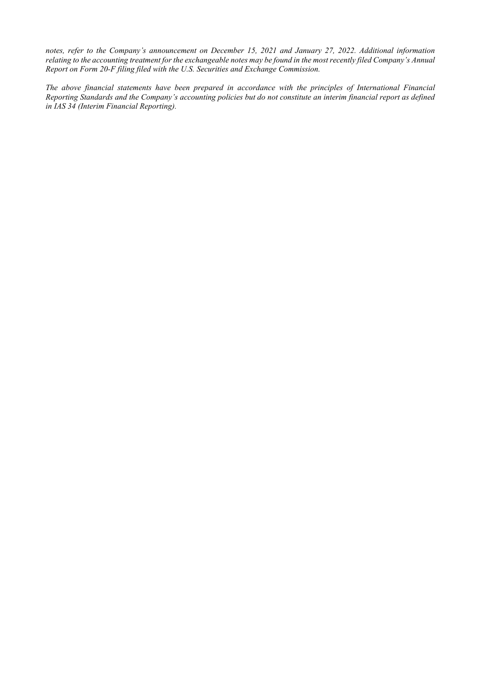*notes, refer to the Company's announcement on December 15, 2021 and January 27, 2022. Additional information relating to the accounting treatment for the exchangeable notes may be found in the most recently filed Company's Annual Report on Form 20-F filing filed with the U.S. Securities and Exchange Commission.*

*The above financial statements have been prepared in accordance with the principles of International Financial Reporting Standards and the Company's accounting policies but do not constitute an interim financial report as defined in IAS 34 (Interim Financial Reporting).*